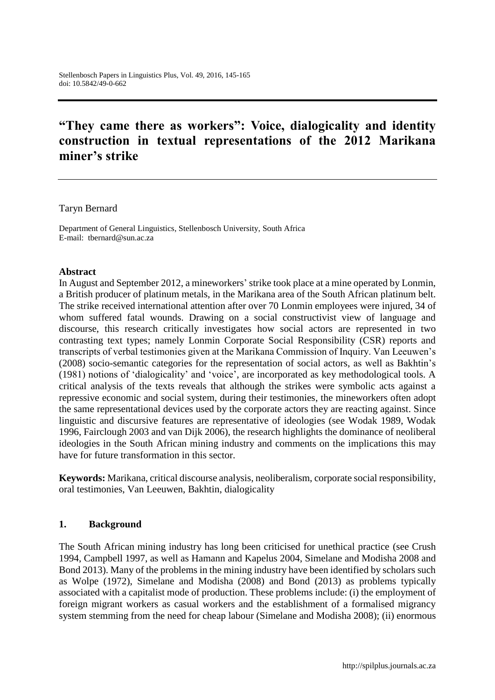# **"They came there as workers": Voice, dialogicality and identity construction in textual representations of the 2012 Marikana miner's strike**

#### Taryn Bernard

Department of General Linguistics, Stellenbosch University, South Africa E-mail: tbernard@sun.ac.za

#### **Abstract**

In August and September 2012, a mineworkers' strike took place at a mine operated by Lonmin, a British producer of platinum metals, in the Marikana area of the South African platinum belt. The strike received international attention after over 70 Lonmin employees were injured, 34 of whom suffered fatal wounds. Drawing on a social constructivist view of language and discourse, this research critically investigates how social actors are represented in two contrasting text types; namely Lonmin Corporate Social Responsibility (CSR) reports and transcripts of verbal testimonies given at the Marikana Commission of Inquiry. Van Leeuwen's (2008) socio-semantic categories for the representation of social actors, as well as Bakhtin's (1981) notions of 'dialogicality' and 'voice', are incorporated as key methodological tools. A critical analysis of the texts reveals that although the strikes were symbolic acts against a repressive economic and social system, during their testimonies, the mineworkers often adopt the same representational devices used by the corporate actors they are reacting against. Since linguistic and discursive features are representative of ideologies (see Wodak 1989, Wodak 1996, Fairclough 2003 and van Dijk 2006), the research highlights the dominance of neoliberal ideologies in the South African mining industry and comments on the implications this may have for future transformation in this sector.

**Keywords:** Marikana, critical discourse analysis, neoliberalism, corporate social responsibility, oral testimonies, Van Leeuwen, Bakhtin, dialogicality

#### **1. Background**

The South African mining industry has long been criticised for unethical practice (see Crush 1994, Campbell 1997, as well as Hamann and Kapelus 2004, Simelane and Modisha 2008 and Bond 2013). Many of the problems in the mining industry have been identified by scholars such as Wolpe (1972), Simelane and Modisha (2008) and Bond (2013) as problems typically associated with a capitalist mode of production. These problems include: (i) the employment of foreign migrant workers as casual workers and the establishment of a formalised migrancy system stemming from the need for cheap labour (Simelane and Modisha 2008); (ii) enormous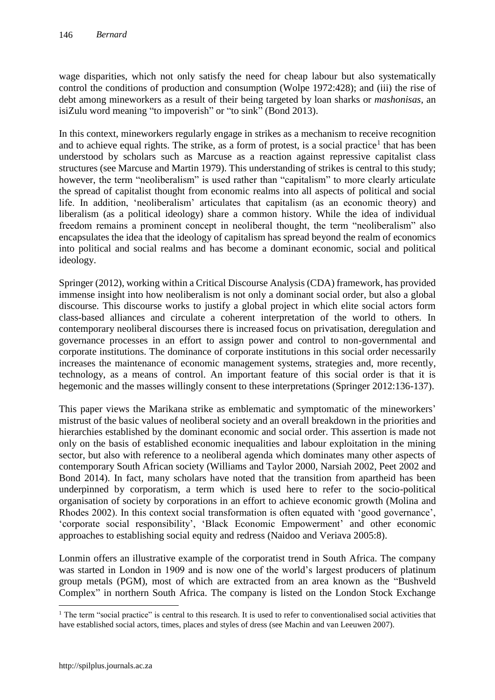wage disparities, which not only satisfy the need for cheap labour but also systematically control the conditions of production and consumption (Wolpe 1972:428); and (iii) the rise of debt among mineworkers as a result of their being targeted by loan sharks or *mashonisas*, an isiZulu word meaning "to impoverish" or "to sink" (Bond 2013).

In this context, mineworkers regularly engage in strikes as a mechanism to receive recognition and to achieve equal rights. The strike, as a form of protest, is a social practice<sup>1</sup> that has been understood by scholars such as Marcuse as a reaction against repressive capitalist class structures (see Marcuse and Martin 1979). This understanding of strikes is central to this study; however, the term "neoliberalism" is used rather than "capitalism" to more clearly articulate the spread of capitalist thought from economic realms into all aspects of political and social life. In addition, 'neoliberalism' articulates that capitalism (as an economic theory) and liberalism (as a political ideology) share a common history. While the idea of individual freedom remains a prominent concept in neoliberal thought, the term "neoliberalism" also encapsulates the idea that the ideology of capitalism has spread beyond the realm of economics into political and social realms and has become a dominant economic, social and political ideology.

Springer (2012), working within a Critical Discourse Analysis (CDA) framework, has provided immense insight into how neoliberalism is not only a dominant social order, but also a global discourse. This discourse works to justify a global project in which elite social actors form class-based alliances and circulate a coherent interpretation of the world to others. In contemporary neoliberal discourses there is increased focus on privatisation, deregulation and governance processes in an effort to assign power and control to non-governmental and corporate institutions. The dominance of corporate institutions in this social order necessarily increases the maintenance of economic management systems, strategies and, more recently, technology, as a means of control. An important feature of this social order is that it is hegemonic and the masses willingly consent to these interpretations (Springer 2012:136-137).

This paper views the Marikana strike as emblematic and symptomatic of the mineworkers' mistrust of the basic values of neoliberal society and an overall breakdown in the priorities and hierarchies established by the dominant economic and social order. This assertion is made not only on the basis of established economic inequalities and labour exploitation in the mining sector, but also with reference to a neoliberal agenda which dominates many other aspects of contemporary South African society (Williams and Taylor 2000, Narsiah 2002, Peet 2002 and Bond 2014). In fact, many scholars have noted that the transition from apartheid has been underpinned by corporatism, a term which is used here to refer to the socio-political organisation of society by corporations in an effort to achieve economic growth (Molina and Rhodes 2002). In this context social transformation is often equated with 'good governance', 'corporate social responsibility', 'Black Economic Empowerment' and other economic approaches to establishing social equity and redress (Naidoo and Veriava 2005:8).

Lonmin offers an illustrative example of the corporatist trend in South Africa. The company was started in London in 1909 and is now one of the world's largest producers of platinum group metals (PGM), most of which are extracted from an area known as the "Bushveld Complex" in northern South Africa. The company is listed on the London Stock Exchange

 $\overline{a}$ 

 $<sup>1</sup>$  The term "social practice" is central to this research. It is used to refer to conventionalised social activities that</sup> have established social actors, times, places and styles of dress (see Machin and van Leeuwen 2007).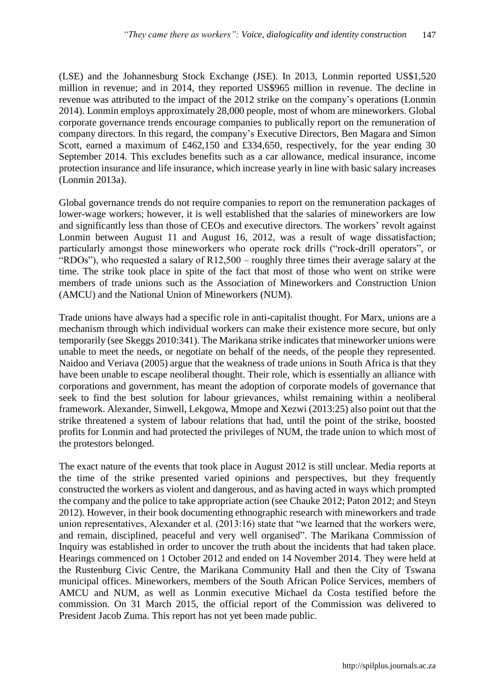(LSE) and the Johannesburg Stock Exchange (JSE). In 2013, Lonmin reported US\$1,520 million in revenue; and in 2014, they reported US\$965 million in revenue. The decline in revenue was attributed to the impact of the 2012 strike on the company's operations (Lonmin 2014). Lonmin employs approximately 28,000 people, most of whom are mineworkers. Global corporate governance trends encourage companies to publically report on the remuneration of company directors. In this regard, the company's Executive Directors, Ben Magara and Simon Scott, earned a maximum of £462,150 and £334,650, respectively, for the year ending 30 September 2014. This excludes benefits such as a car allowance, medical insurance, income protection insurance and life insurance, which increase yearly in line with basic salary increases (Lonmin 2013a).

Global governance trends do not require companies to report on the remuneration packages of lower-wage workers; however, it is well established that the salaries of mineworkers are low and significantly less than those of CEOs and executive directors. The workers' revolt against Lonmin between August 11 and August 16, 2012, was a result of wage dissatisfaction; particularly amongst those mineworkers who operate rock drills ("rock-drill operators", or "RDOs"), who requested a salary of R12,500 – roughly three times their average salary at the time. The strike took place in spite of the fact that most of those who went on strike were members of trade unions such as the Association of Mineworkers and Construction Union (AMCU) and the National Union of Mineworkers (NUM).

Trade unions have always had a specific role in anti-capitalist thought. For Marx, unions are a mechanism through which individual workers can make their existence more secure, but only temporarily (see Skeggs 2010:341). The Marikana strike indicates that mineworker unions were unable to meet the needs, or negotiate on behalf of the needs, of the people they represented. Naidoo and Veriava (2005) argue that the weakness of trade unions in South Africa is that they have been unable to escape neoliberal thought. Their role, which is essentially an alliance with corporations and government, has meant the adoption of corporate models of governance that seek to find the best solution for labour grievances, whilst remaining within a neoliberal framework. Alexander, Sinwell, Lekgowa, Mmope and Xezwi (2013:25) also point out that the strike threatened a system of labour relations that had, until the point of the strike, boosted profits for Lonmin and had protected the privileges of NUM, the trade union to which most of the protestors belonged.

The exact nature of the events that took place in August 2012 is still unclear. Media reports at the time of the strike presented varied opinions and perspectives, but they frequently constructed the workers as violent and dangerous, and as having acted in ways which prompted the company and the police to take appropriate action (see Chauke 2012; Paton 2012; and Steyn 2012). However, in their book documenting ethnographic research with mineworkers and trade union representatives, Alexander et al. (2013:16) state that "we learned that the workers were, and remain, disciplined, peaceful and very well organised". The Marikana Commission of Inquiry was established in order to uncover the truth about the incidents that had taken place. Hearings commenced on 1 October 2012 and ended on 14 November 2014. They were held at the Rustenburg Civic Centre, the Marikana Community Hall and then the City of Tswana municipal offices. Mineworkers, members of the South African Police Services, members of AMCU and NUM, as well as Lonmin executive Michael da Costa testified before the commission. On 31 March 2015, the official report of the Commission was delivered to President Jacob Zuma. This report has not yet been made public.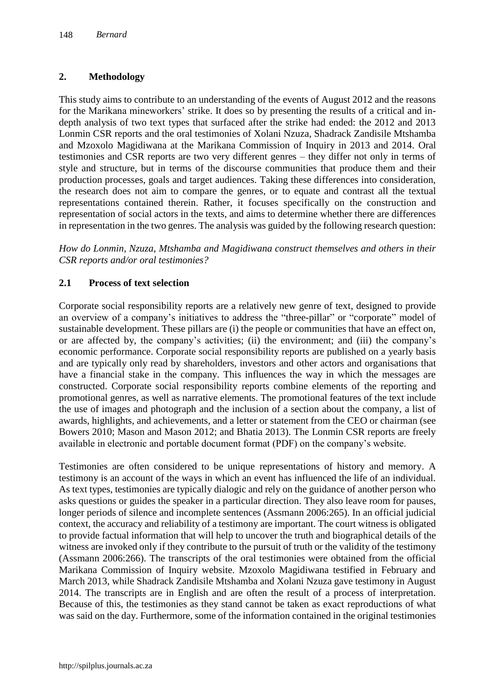# **2. Methodology**

This study aims to contribute to an understanding of the events of August 2012 and the reasons for the Marikana mineworkers' strike. It does so by presenting the results of a critical and indepth analysis of two text types that surfaced after the strike had ended: the 2012 and 2013 Lonmin CSR reports and the oral testimonies of Xolani Nzuza, Shadrack Zandisile Mtshamba and Mzoxolo Magidiwana at the Marikana Commission of Inquiry in 2013 and 2014. Oral testimonies and CSR reports are two very different genres – they differ not only in terms of style and structure, but in terms of the discourse communities that produce them and their production processes, goals and target audiences. Taking these differences into consideration, the research does not aim to compare the genres, or to equate and contrast all the textual representations contained therein. Rather, it focuses specifically on the construction and representation of social actors in the texts, and aims to determine whether there are differences in representation in the two genres. The analysis was guided by the following research question:

*How do Lonmin, Nzuza, Mtshamba and Magidiwana construct themselves and others in their CSR reports and/or oral testimonies?*

# **2.1 Process of text selection**

Corporate social responsibility reports are a relatively new genre of text, designed to provide an overview of a company's initiatives to address the "three-pillar" or "corporate" model of sustainable development. These pillars are (i) the people or communities that have an effect on, or are affected by, the company's activities; (ii) the environment; and (iii) the company's economic performance. Corporate social responsibility reports are published on a yearly basis and are typically only read by shareholders, investors and other actors and organisations that have a financial stake in the company. This influences the way in which the messages are constructed. Corporate social responsibility reports combine elements of the reporting and promotional genres, as well as narrative elements. The promotional features of the text include the use of images and photograph and the inclusion of a section about the company, a list of awards, highlights, and achievements, and a letter or statement from the CEO or chairman (see Bowers 2010; Mason and Mason 2012; and Bhatia 2013). The Lonmin CSR reports are freely available in electronic and portable document format (PDF) on the company's website.

Testimonies are often considered to be unique representations of history and memory. A testimony is an account of the ways in which an event has influenced the life of an individual. As text types, testimonies are typically dialogic and rely on the guidance of another person who asks questions or guides the speaker in a particular direction. They also leave room for pauses, longer periods of silence and incomplete sentences (Assmann 2006:265). In an official judicial context, the accuracy and reliability of a testimony are important. The court witness is obligated to provide factual information that will help to uncover the truth and biographical details of the witness are invoked only if they contribute to the pursuit of truth or the validity of the testimony (Assmann 2006:266). The transcripts of the oral testimonies were obtained from the official Marikana Commission of Inquiry website. Mzoxolo Magidiwana testified in February and March 2013, while Shadrack Zandisile Mtshamba and Xolani Nzuza gave testimony in August 2014. The transcripts are in English and are often the result of a process of interpretation. Because of this, the testimonies as they stand cannot be taken as exact reproductions of what was said on the day. Furthermore, some of the information contained in the original testimonies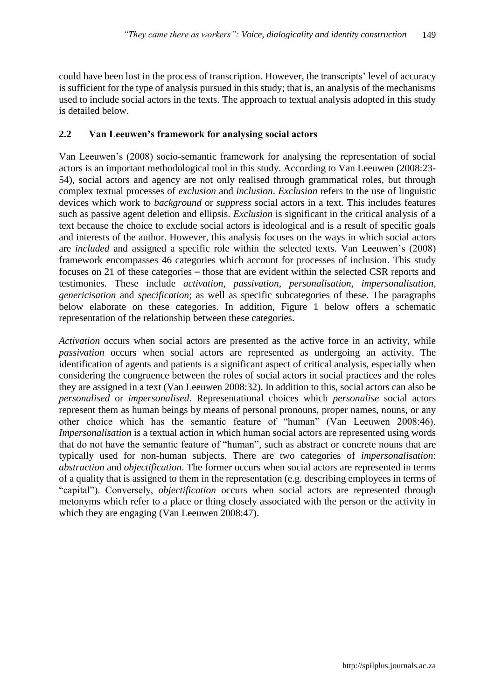could have been lost in the process of transcription. However, the transcripts' level of accuracy is sufficient for the type of analysis pursued in this study; that is, an analysis of the mechanisms used to include social actors in the texts. The approach to textual analysis adopted in this study is detailed below.

# **2.2 Van Leeuwen's framework for analysing social actors**

Van Leeuwen's (2008) socio-semantic framework for analysing the representation of social actors is an important methodological tool in this study. According to Van Leeuwen (2008:23- 54), social actors and agency are not only realised through grammatical roles, but through complex textual processes of *exclusion* and *inclusion*. *Exclusion* refers to the use of linguistic devices which work to *background* or *suppress* social actors in a text. This includes features such as passive agent deletion and ellipsis. *Exclusion* is significant in the critical analysis of a text because the choice to exclude social actors is ideological and is a result of specific goals and interests of the author. However, this analysis focuses on the ways in which social actors are *included* and assigned a specific role within the selected texts. Van Leeuwen's (2008) framework encompasses 46 categories which account for processes of inclusion. This study focuses on 21 of these categories – those that are evident within the selected CSR reports and testimonies. These include *activation*, *passivation*, *personalisation*, *impersonalisation*, *genericisation* and *specification*; as well as specific subcategories of these. The paragraphs below elaborate on these categories. In addition, Figure 1 below offers a schematic representation of the relationship between these categories.

*Activation* occurs when social actors are presented as the active force in an activity, while *passivation* occurs when social actors are represented as undergoing an activity. The identification of agents and patients is a significant aspect of critical analysis, especially when considering the congruence between the roles of social actors in social practices and the roles they are assigned in a text (Van Leeuwen 2008:32). In addition to this, social actors can also be *personalised* or *impersonalised*. Representational choices which *personalise* social actors represent them as human beings by means of personal pronouns, proper names, nouns, or any other choice which has the semantic feature of "human" (Van Leeuwen 2008:46). *Impersonalisation* is a textual action in which human social actors are represented using words that do not have the semantic feature of "human", such as abstract or concrete nouns that are typically used for non-human subjects. There are two categories of *impersonalisation*: *abstraction* and *objectification*. The former occurs when social actors are represented in terms of a quality that is assigned to them in the representation (e.g. describing employees in terms of "capital"). Conversely, *objectification* occurs when social actors are represented through metonyms which refer to a place or thing closely associated with the person or the activity in which they are engaging (Van Leeuwen 2008:47).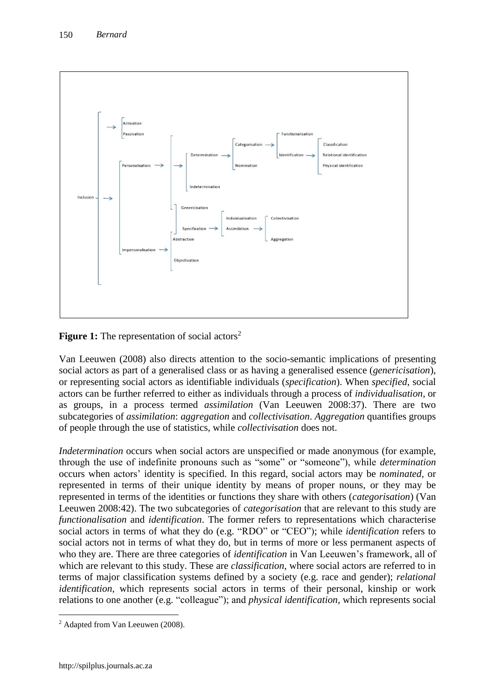

**Figure 1:** The representation of social actors<sup>2</sup>

Van Leeuwen (2008) also directs attention to the socio-semantic implications of presenting social actors as part of a generalised class or as having a generalised essence (*genericisation*), or representing social actors as identifiable individuals (*specification*). When *specified*, social actors can be further referred to either as individuals through a process of *individualisation*, or as groups, in a process termed *assimilation* (Van Leeuwen 2008:37). There are two subcategories of *assimilation*: *aggregation* and *collectivisation*. *Aggregation* quantifies groups of people through the use of statistics, while *collectivisation* does not.

*Indetermination* occurs when social actors are unspecified or made anonymous (for example, through the use of indefinite pronouns such as "some" or "someone"), while *determination*  occurs when actors' identity is specified. In this regard, social actors may be *nominated*, or represented in terms of their unique identity by means of proper nouns, or they may be represented in terms of the identities or functions they share with others (*categorisation*) (Van Leeuwen 2008:42). The two subcategories of *categorisation* that are relevant to this study are *functionalisation* and *identification*. The former refers to representations which characterise social actors in terms of what they do (e.g. "RDO" or "CEO"); while *identification* refers to social actors not in terms of what they do, but in terms of more or less permanent aspects of who they are. There are three categories of *identification* in Van Leeuwen's framework, all of which are relevant to this study. These are *classification*, where social actors are referred to in terms of major classification systems defined by a society (e.g. race and gender); *relational identification*, which represents social actors in terms of their personal, kinship or work relations to one another (e.g. "colleague"); and *physical identification*, which represents social

 $\overline{a}$ <sup>2</sup> Adapted from Van Leeuwen (2008).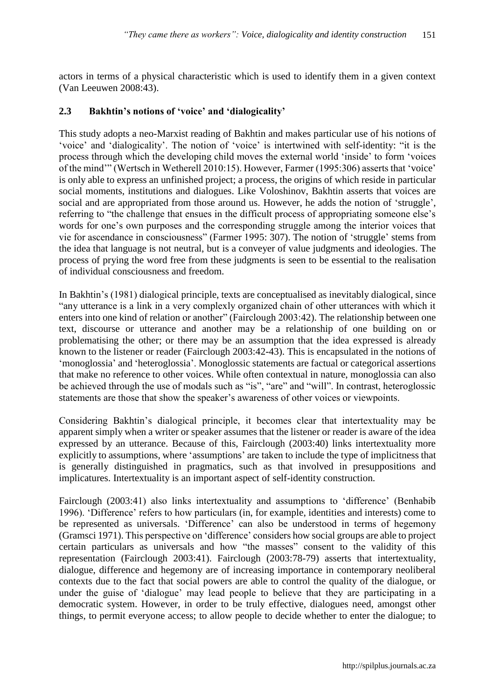actors in terms of a physical characteristic which is used to identify them in a given context (Van Leeuwen 2008:43).

## **2.3 Bakhtin's notions of 'voice' and 'dialogicality'**

This study adopts a neo-Marxist reading of Bakhtin and makes particular use of his notions of 'voice' and 'dialogicality'. The notion of 'voice' is intertwined with self-identity: "it is the process through which the developing child moves the external world 'inside' to form 'voices of the mind'" (Wertsch in Wetherell 2010:15). However, Farmer (1995:306) asserts that 'voice' is only able to express an unfinished project; a process, the origins of which reside in particular social moments, institutions and dialogues. Like Voloshinov, Bakhtin asserts that voices are social and are appropriated from those around us. However, he adds the notion of 'struggle', referring to "the challenge that ensues in the difficult process of appropriating someone else's words for one's own purposes and the corresponding struggle among the interior voices that vie for ascendance in consciousness" (Farmer 1995: 307). The notion of 'struggle' stems from the idea that language is not neutral, but is a conveyer of value judgments and ideologies. The process of prying the word free from these judgments is seen to be essential to the realisation of individual consciousness and freedom.

In Bakhtin's (1981) dialogical principle, texts are conceptualised as inevitably dialogical, since "any utterance is a link in a very complexly organized chain of other utterances with which it enters into one kind of relation or another" (Fairclough 2003:42). The relationship between one text, discourse or utterance and another may be a relationship of one building on or problematising the other; or there may be an assumption that the idea expressed is already known to the listener or reader (Fairclough 2003:42-43). This is encapsulated in the notions of 'monoglossia' and 'heteroglossia'. Monoglossic statements are factual or categorical assertions that make no reference to other voices. While often contextual in nature, monoglossia can also be achieved through the use of modals such as "is", "are" and "will". In contrast, heteroglossic statements are those that show the speaker's awareness of other voices or viewpoints.

Considering Bakhtin's dialogical principle, it becomes clear that intertextuality may be apparent simply when a writer or speaker assumes that the listener or reader is aware of the idea expressed by an utterance. Because of this, Fairclough (2003:40) links intertextuality more explicitly to assumptions, where 'assumptions' are taken to include the type of implicitness that is generally distinguished in pragmatics, such as that involved in presuppositions and implicatures. Intertextuality is an important aspect of self-identity construction.

Fairclough (2003:41) also links intertextuality and assumptions to 'difference' (Benhabib 1996). 'Difference' refers to how particulars (in, for example, identities and interests) come to be represented as universals. 'Difference' can also be understood in terms of hegemony (Gramsci 1971). This perspective on 'difference' considers how social groups are able to project certain particulars as universals and how "the masses" consent to the validity of this representation (Fairclough 2003:41). Fairclough (2003:78-79) asserts that intertextuality, dialogue, difference and hegemony are of increasing importance in contemporary neoliberal contexts due to the fact that social powers are able to control the quality of the dialogue, or under the guise of 'dialogue' may lead people to believe that they are participating in a democratic system. However, in order to be truly effective, dialogues need, amongst other things, to permit everyone access; to allow people to decide whether to enter the dialogue; to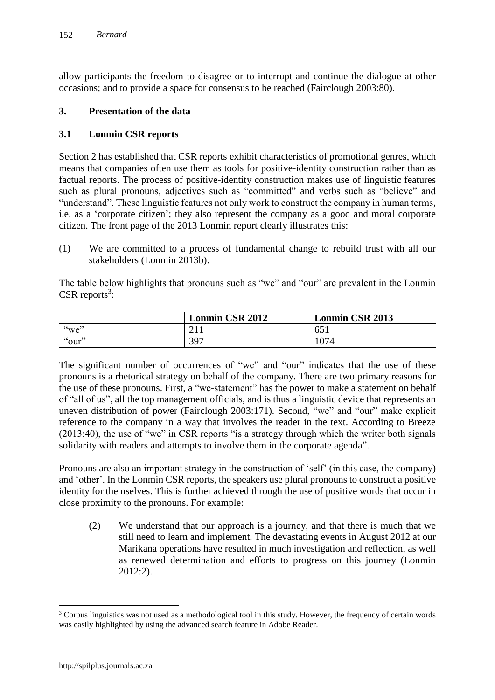allow participants the freedom to disagree or to interrupt and continue the dialogue at other occasions; and to provide a space for consensus to be reached (Fairclough 2003:80).

## **3. Presentation of the data**

## **3.1 Lonmin CSR reports**

Section 2 has established that CSR reports exhibit characteristics of promotional genres, which means that companies often use them as tools for positive-identity construction rather than as factual reports. The process of positive-identity construction makes use of linguistic features such as plural pronouns, adjectives such as "committed" and verbs such as "believe" and "understand". These linguistic features not only work to construct the company in human terms, i.e. as a 'corporate citizen'; they also represent the company as a good and moral corporate citizen. The front page of the 2013 Lonmin report clearly illustrates this:

(1) We are committed to a process of fundamental change to rebuild trust with all our stakeholders (Lonmin 2013b).

The table below highlights that pronouns such as "we" and "our" are prevalent in the Lonmin  $CSR$  reports<sup>3</sup>:

|          | <b>Lonmin CSR 2012</b> | <b>Lonmin CSR 2013</b> |
|----------|------------------------|------------------------|
| " $we$ " | ົາ 1                   | $-65^\circ$            |
| "our"    | 397                    | 1074                   |

The significant number of occurrences of "we" and "our" indicates that the use of these pronouns is a rhetorical strategy on behalf of the company. There are two primary reasons for the use of these pronouns. First, a "we-statement" has the power to make a statement on behalf of "all of us", all the top management officials, and is thus a linguistic device that represents an uneven distribution of power (Fairclough 2003:171). Second, "we" and "our" make explicit reference to the company in a way that involves the reader in the text. According to Breeze (2013:40), the use of "we" in CSR reports "is a strategy through which the writer both signals solidarity with readers and attempts to involve them in the corporate agenda".

Pronouns are also an important strategy in the construction of 'self' (in this case, the company) and 'other'. In the Lonmin CSR reports, the speakers use plural pronouns to construct a positive identity for themselves. This is further achieved through the use of positive words that occur in close proximity to the pronouns. For example:

(2) We understand that our approach is a journey, and that there is much that we still need to learn and implement. The devastating events in August 2012 at our Marikana operations have resulted in much investigation and reflection, as well as renewed determination and efforts to progress on this journey (Lonmin 2012:2).

 $\overline{a}$ 

<sup>&</sup>lt;sup>3</sup> Corpus linguistics was not used as a methodological tool in this study. However, the frequency of certain words was easily highlighted by using the advanced search feature in Adobe Reader.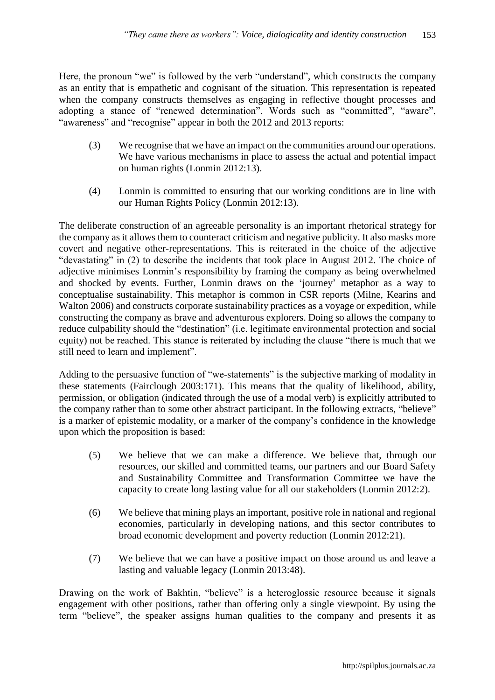Here, the pronoun "we" is followed by the verb "understand", which constructs the company as an entity that is empathetic and cognisant of the situation. This representation is repeated when the company constructs themselves as engaging in reflective thought processes and adopting a stance of "renewed determination". Words such as "committed", "aware", "awareness" and "recognise" appear in both the 2012 and 2013 reports:

- (3) We recognise that we have an impact on the communities around our operations. We have various mechanisms in place to assess the actual and potential impact on human rights (Lonmin 2012:13).
- (4) Lonmin is committed to ensuring that our working conditions are in line with our Human Rights Policy (Lonmin 2012:13).

The deliberate construction of an agreeable personality is an important rhetorical strategy for the company as it allows them to counteract criticism and negative publicity. It also masks more covert and negative other-representations. This is reiterated in the choice of the adjective "devastating" in (2) to describe the incidents that took place in August 2012. The choice of adjective minimises Lonmin's responsibility by framing the company as being overwhelmed and shocked by events. Further, Lonmin draws on the 'journey' metaphor as a way to conceptualise sustainability. This metaphor is common in CSR reports (Milne, Kearins and Walton 2006) and constructs corporate sustainability practices as a voyage or expedition, while constructing the company as brave and adventurous explorers. Doing so allows the company to reduce culpability should the "destination" (i.e. legitimate environmental protection and social equity) not be reached. This stance is reiterated by including the clause "there is much that we still need to learn and implement".

Adding to the persuasive function of "we-statements" is the subjective marking of modality in these statements (Fairclough 2003:171). This means that the quality of likelihood, ability, permission, or obligation (indicated through the use of a modal verb) is explicitly attributed to the company rather than to some other abstract participant. In the following extracts, "believe" is a marker of epistemic modality, or a marker of the company's confidence in the knowledge upon which the proposition is based:

- (5) We believe that we can make a difference. We believe that, through our resources, our skilled and committed teams, our partners and our Board Safety and Sustainability Committee and Transformation Committee we have the capacity to create long lasting value for all our stakeholders (Lonmin 2012:2).
- (6) We believe that mining plays an important, positive role in national and regional economies, particularly in developing nations, and this sector contributes to broad economic development and poverty reduction (Lonmin 2012:21).
- (7) We believe that we can have a positive impact on those around us and leave a lasting and valuable legacy (Lonmin 2013:48).

Drawing on the work of Bakhtin, "believe" is a heteroglossic resource because it signals engagement with other positions, rather than offering only a single viewpoint. By using the term "believe", the speaker assigns human qualities to the company and presents it as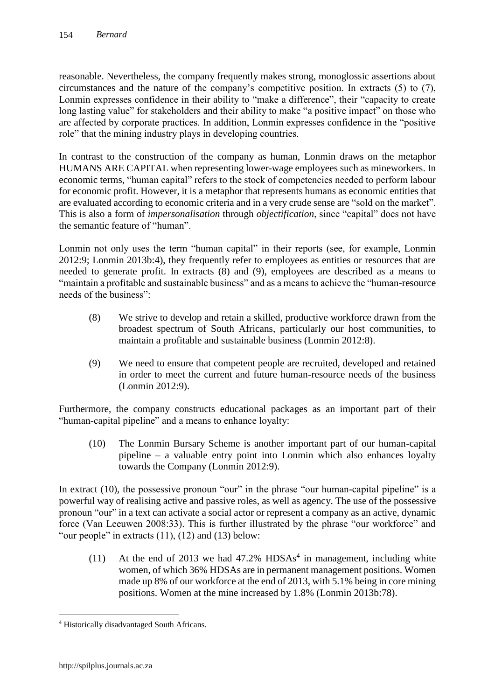reasonable. Nevertheless, the company frequently makes strong, monoglossic assertions about circumstances and the nature of the company's competitive position. In extracts (5) to (7), Lonmin expresses confidence in their ability to "make a difference", their "capacity to create long lasting value" for stakeholders and their ability to make "a positive impact" on those who are affected by corporate practices. In addition, Lonmin expresses confidence in the "positive role" that the mining industry plays in developing countries.

In contrast to the construction of the company as human, Lonmin draws on the metaphor HUMANS ARE CAPITAL when representing lower-wage employees such as mineworkers. In economic terms, "human capital" refers to the stock of competencies needed to perform labour for economic profit. However, it is a metaphor that represents humans as economic entities that are evaluated according to economic criteria and in a very crude sense are "sold on the market". This is also a form of *impersonalisation* through *objectification*, since "capital" does not have the semantic feature of "human".

Lonmin not only uses the term "human capital" in their reports (see, for example, Lonmin 2012:9; Lonmin 2013b:4), they frequently refer to employees as entities or resources that are needed to generate profit. In extracts (8) and (9), employees are described as a means to "maintain a profitable and sustainable business" and as a means to achieve the "human-resource needs of the business":

- (8) We strive to develop and retain a skilled, productive workforce drawn from the broadest spectrum of South Africans, particularly our host communities, to maintain a profitable and sustainable business (Lonmin 2012:8).
- (9) We need to ensure that competent people are recruited, developed and retained in order to meet the current and future human-resource needs of the business (Lonmin 2012:9).

Furthermore, the company constructs educational packages as an important part of their "human-capital pipeline" and a means to enhance loyalty:

(10) The Lonmin Bursary Scheme is another important part of our human-capital pipeline – a valuable entry point into Lonmin which also enhances loyalty towards the Company (Lonmin 2012:9).

In extract (10), the possessive pronoun "our" in the phrase "our human-capital pipeline" is a powerful way of realising active and passive roles, as well as agency. The use of the possessive pronoun "our" in a text can activate a social actor or represent a company as an active, dynamic force (Van Leeuwen 2008:33). This is further illustrated by the phrase "our workforce" and "our people" in extracts  $(11)$ ,  $(12)$  and  $(13)$  below:

(11) At the end of 2013 we had  $47.2\%$  HDSAs<sup>4</sup> in management, including white women, of which 36% HDSAs are in permanent management positions. Women made up 8% of our workforce at the end of 2013, with 5.1% being in core mining positions. Women at the mine increased by 1.8% (Lonmin 2013b:78).

 $\overline{a}$ 

<sup>4</sup> Historically disadvantaged South Africans.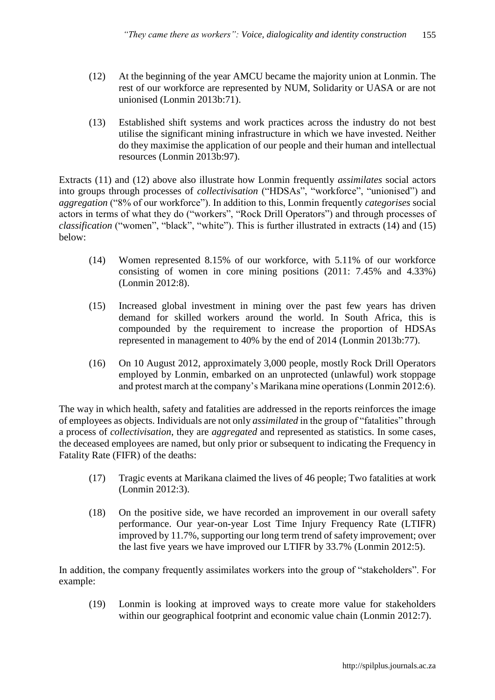- (12) At the beginning of the year AMCU became the majority union at Lonmin. The rest of our workforce are represented by NUM, Solidarity or UASA or are not unionised (Lonmin 2013b:71).
- (13) Established shift systems and work practices across the industry do not best utilise the significant mining infrastructure in which we have invested. Neither do they maximise the application of our people and their human and intellectual resources (Lonmin 2013b:97).

Extracts (11) and (12) above also illustrate how Lonmin frequently *assimilates* social actors into groups through processes of *collectivisation* ("HDSAs", "workforce", "unionised") and *aggregation* ("8% of our workforce"). In addition to this, Lonmin frequently *categorises* social actors in terms of what they do ("workers", "Rock Drill Operators") and through processes of *classification* ("women", "black", "white"). This is further illustrated in extracts (14) and (15) below:

- (14) Women represented 8.15% of our workforce, with 5.11% of our workforce consisting of women in core mining positions (2011: 7.45% and 4.33%) (Lonmin 2012:8).
- (15) Increased global investment in mining over the past few years has driven demand for skilled workers around the world. In South Africa, this is compounded by the requirement to increase the proportion of HDSAs represented in management to 40% by the end of 2014 (Lonmin 2013b:77).
- (16) On 10 August 2012, approximately 3,000 people, mostly Rock Drill Operators employed by Lonmin, embarked on an unprotected (unlawful) work stoppage and protest march at the company's Marikana mine operations (Lonmin 2012:6).

The way in which health, safety and fatalities are addressed in the reports reinforces the image of employees as objects. Individuals are not only *assimilated* in the group of "fatalities" through a process of *collectivisation*, they are *aggregated* and represented as statistics. In some cases, the deceased employees are named, but only prior or subsequent to indicating the Frequency in Fatality Rate (FIFR) of the deaths:

- (17) Tragic events at Marikana claimed the lives of 46 people; Two fatalities at work (Lonmin 2012:3).
- (18) On the positive side, we have recorded an improvement in our overall safety performance. Our year-on-year Lost Time Injury Frequency Rate (LTIFR) improved by 11.7%, supporting our long term trend of safety improvement; over the last five years we have improved our LTIFR by 33.7% (Lonmin 2012:5).

In addition, the company frequently assimilates workers into the group of "stakeholders". For example:

(19) Lonmin is looking at improved ways to create more value for stakeholders within our geographical footprint and economic value chain (Lonmin 2012:7).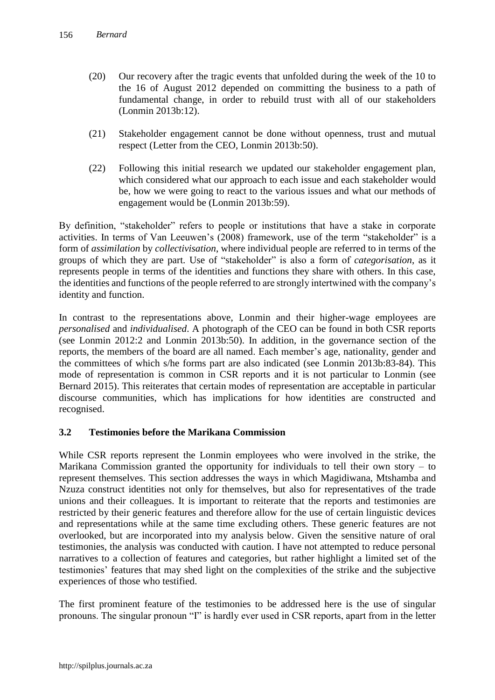- (20) Our recovery after the tragic events that unfolded during the week of the 10 to the 16 of August 2012 depended on committing the business to a path of fundamental change, in order to rebuild trust with all of our stakeholders (Lonmin 2013b:12).
- (21) Stakeholder engagement cannot be done without openness, trust and mutual respect (Letter from the CEO, Lonmin 2013b:50).
- (22) Following this initial research we updated our stakeholder engagement plan, which considered what our approach to each issue and each stakeholder would be, how we were going to react to the various issues and what our methods of engagement would be (Lonmin 2013b:59).

By definition, "stakeholder" refers to people or institutions that have a stake in corporate activities. In terms of Van Leeuwen's (2008) framework, use of the term "stakeholder" is a form of *assimilation* by *collectivisation*, where individual people are referred to in terms of the groups of which they are part. Use of "stakeholder" is also a form of *categorisation*, as it represents people in terms of the identities and functions they share with others. In this case, the identities and functions of the people referred to are strongly intertwined with the company's identity and function.

In contrast to the representations above, Lonmin and their higher-wage employees are *personalised* and *individualised*. A photograph of the CEO can be found in both CSR reports (see Lonmin 2012:2 and Lonmin 2013b:50). In addition, in the governance section of the reports, the members of the board are all named. Each member's age, nationality, gender and the committees of which s/he forms part are also indicated (see Lonmin 2013b:83-84). This mode of representation is common in CSR reports and it is not particular to Lonmin (see Bernard 2015). This reiterates that certain modes of representation are acceptable in particular discourse communities, which has implications for how identities are constructed and recognised.

## **3.2 Testimonies before the Marikana Commission**

While CSR reports represent the Lonmin employees who were involved in the strike, the Marikana Commission granted the opportunity for individuals to tell their own story – to represent themselves. This section addresses the ways in which Magidiwana, Mtshamba and Nzuza construct identities not only for themselves, but also for representatives of the trade unions and their colleagues. It is important to reiterate that the reports and testimonies are restricted by their generic features and therefore allow for the use of certain linguistic devices and representations while at the same time excluding others. These generic features are not overlooked, but are incorporated into my analysis below. Given the sensitive nature of oral testimonies, the analysis was conducted with caution. I have not attempted to reduce personal narratives to a collection of features and categories, but rather highlight a limited set of the testimonies' features that may shed light on the complexities of the strike and the subjective experiences of those who testified.

The first prominent feature of the testimonies to be addressed here is the use of singular pronouns. The singular pronoun "I" is hardly ever used in CSR reports, apart from in the letter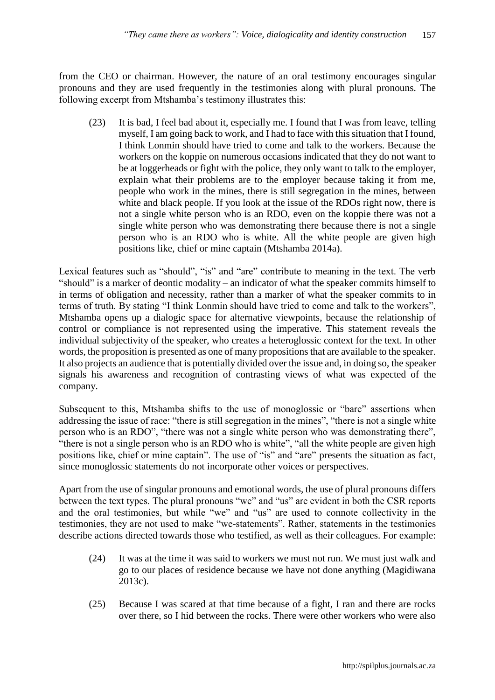from the CEO or chairman. However, the nature of an oral testimony encourages singular pronouns and they are used frequently in the testimonies along with plural pronouns. The following excerpt from Mtshamba's testimony illustrates this:

(23) It is bad, I feel bad about it, especially me. I found that I was from leave, telling myself, I am going back to work, and I had to face with this situation that I found, I think Lonmin should have tried to come and talk to the workers. Because the workers on the koppie on numerous occasions indicated that they do not want to be at loggerheads or fight with the police, they only want to talk to the employer, explain what their problems are to the employer because taking it from me, people who work in the mines, there is still segregation in the mines, between white and black people. If you look at the issue of the RDOs right now, there is not a single white person who is an RDO, even on the koppie there was not a single white person who was demonstrating there because there is not a single person who is an RDO who is white. All the white people are given high positions like, chief or mine captain (Mtshamba 2014a).

Lexical features such as "should", "is" and "are" contribute to meaning in the text. The verb "should" is a marker of deontic modality – an indicator of what the speaker commits himself to in terms of obligation and necessity, rather than a marker of what the speaker commits to in terms of truth. By stating "I think Lonmin should have tried to come and talk to the workers", Mtshamba opens up a dialogic space for alternative viewpoints, because the relationship of control or compliance is not represented using the imperative. This statement reveals the individual subjectivity of the speaker, who creates a heteroglossic context for the text. In other words, the proposition is presented as one of many propositions that are available to the speaker. It also projects an audience that is potentially divided over the issue and, in doing so, the speaker signals his awareness and recognition of contrasting views of what was expected of the company.

Subsequent to this, Mtshamba shifts to the use of monoglossic or "bare" assertions when addressing the issue of race: "there is still segregation in the mines", "there is not a single white person who is an RDO", "there was not a single white person who was demonstrating there", "there is not a single person who is an RDO who is white", "all the white people are given high positions like, chief or mine captain". The use of "is" and "are" presents the situation as fact, since monoglossic statements do not incorporate other voices or perspectives.

Apart from the use of singular pronouns and emotional words, the use of plural pronouns differs between the text types. The plural pronouns "we" and "us" are evident in both the CSR reports and the oral testimonies, but while "we" and "us" are used to connote collectivity in the testimonies, they are not used to make "we-statements". Rather, statements in the testimonies describe actions directed towards those who testified, as well as their colleagues. For example:

- (24) It was at the time it was said to workers we must not run. We must just walk and go to our places of residence because we have not done anything (Magidiwana 2013c).
- (25) Because I was scared at that time because of a fight, I ran and there are rocks over there, so I hid between the rocks. There were other workers who were also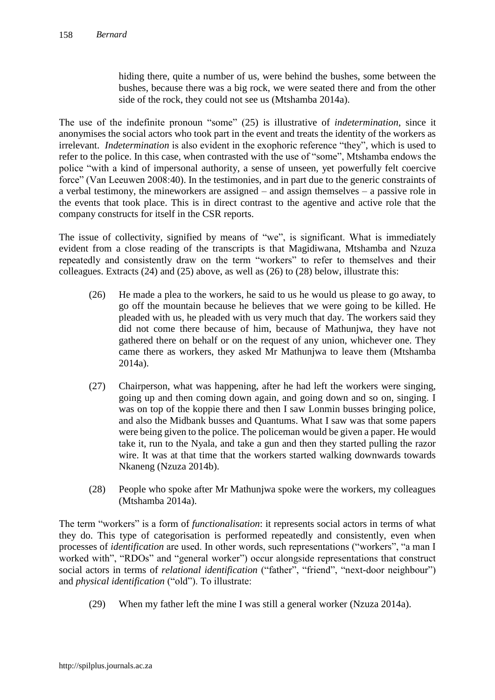hiding there, quite a number of us, were behind the bushes, some between the bushes, because there was a big rock, we were seated there and from the other side of the rock, they could not see us (Mtshamba 2014a).

The use of the indefinite pronoun "some" (25) is illustrative of *indetermination*, since it anonymises the social actors who took part in the event and treats the identity of the workers as irrelevant. *Indetermination* is also evident in the exophoric reference "they", which is used to refer to the police. In this case, when contrasted with the use of "some", Mtshamba endows the police "with a kind of impersonal authority, a sense of unseen, yet powerfully felt coercive force" (Van Leeuwen 2008:40). In the testimonies, and in part due to the generic constraints of a verbal testimony, the mineworkers are assigned – and assign themselves – a passive role in the events that took place. This is in direct contrast to the agentive and active role that the company constructs for itself in the CSR reports.

The issue of collectivity, signified by means of "we", is significant. What is immediately evident from a close reading of the transcripts is that Magidiwana, Mtshamba and Nzuza repeatedly and consistently draw on the term "workers" to refer to themselves and their colleagues. Extracts (24) and (25) above, as well as (26) to (28) below, illustrate this:

- (26) He made a plea to the workers, he said to us he would us please to go away, to go off the mountain because he believes that we were going to be killed. He pleaded with us, he pleaded with us very much that day. The workers said they did not come there because of him, because of Mathunjwa, they have not gathered there on behalf or on the request of any union, whichever one. They came there as workers, they asked Mr Mathunjwa to leave them (Mtshamba 2014a).
- (27) Chairperson, what was happening, after he had left the workers were singing, going up and then coming down again, and going down and so on, singing. I was on top of the koppie there and then I saw Lonmin busses bringing police, and also the Midbank busses and Quantums. What I saw was that some papers were being given to the police. The policeman would be given a paper. He would take it, run to the Nyala, and take a gun and then they started pulling the razor wire. It was at that time that the workers started walking downwards towards Nkaneng (Nzuza 2014b).
- (28) People who spoke after Mr Mathunjwa spoke were the workers, my colleagues (Mtshamba 2014a).

The term "workers" is a form of *functionalisation*: it represents social actors in terms of what they do. This type of categorisation is performed repeatedly and consistently, even when processes of *identification* are used. In other words, such representations ("workers", "a man I worked with", "RDOs" and "general worker") occur alongside representations that construct social actors in terms of *relational identification* ("father", "friend", "next-door neighbour") and *physical identification* ("old"). To illustrate:

(29) When my father left the mine I was still a general worker (Nzuza 2014a).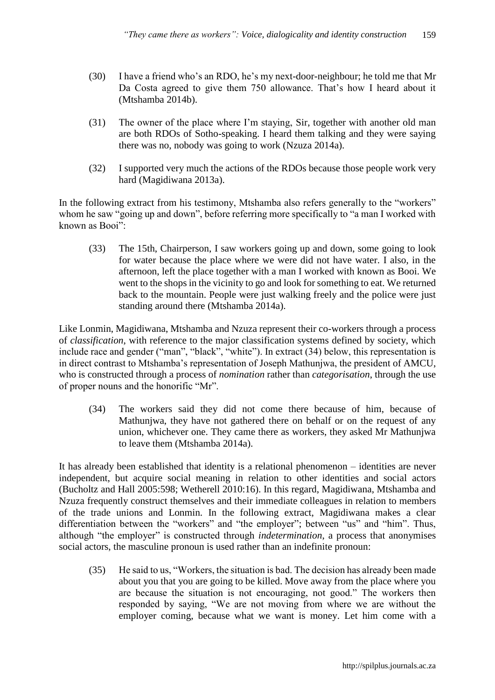- (30) I have a friend who's an RDO, he's my next-door-neighbour; he told me that Mr Da Costa agreed to give them 750 allowance. That's how I heard about it (Mtshamba 2014b).
- (31) The owner of the place where I'm staying, Sir, together with another old man are both RDOs of Sotho-speaking. I heard them talking and they were saying there was no, nobody was going to work (Nzuza 2014a).
- (32) I supported very much the actions of the RDOs because those people work very hard (Magidiwana 2013a).

In the following extract from his testimony, Mtshamba also refers generally to the "workers" whom he saw "going up and down", before referring more specifically to "a man I worked with known as Booi":

(33) The 15th, Chairperson, I saw workers going up and down, some going to look for water because the place where we were did not have water. I also, in the afternoon, left the place together with a man I worked with known as Booi. We went to the shops in the vicinity to go and look for something to eat. We returned back to the mountain. People were just walking freely and the police were just standing around there (Mtshamba 2014a).

Like Lonmin, Magidiwana, Mtshamba and Nzuza represent their co-workers through a process of *classification*, with reference to the major classification systems defined by society, which include race and gender ("man", "black", "white"). In extract (34) below, this representation is in direct contrast to Mtshamba's representation of Joseph Mathunjwa, the president of AMCU, who is constructed through a process of *nomination* rather than *categorisation*, through the use of proper nouns and the honorific "Mr".

(34) The workers said they did not come there because of him, because of Mathunjwa, they have not gathered there on behalf or on the request of any union, whichever one. They came there as workers, they asked Mr Mathunjwa to leave them (Mtshamba 2014a).

It has already been established that identity is a relational phenomenon – identities are never independent, but acquire social meaning in relation to other identities and social actors (Bucholtz and Hall 2005:598; Wetherell 2010:16). In this regard, Magidiwana, Mtshamba and Nzuza frequently construct themselves and their immediate colleagues in relation to members of the trade unions and Lonmin. In the following extract, Magidiwana makes a clear differentiation between the "workers" and "the employer"; between "us" and "him". Thus, although "the employer" is constructed through *indetermination*, a process that anonymises social actors, the masculine pronoun is used rather than an indefinite pronoun:

(35) He said to us, "Workers, the situation is bad. The decision has already been made about you that you are going to be killed. Move away from the place where you are because the situation is not encouraging, not good." The workers then responded by saying, "We are not moving from where we are without the employer coming, because what we want is money. Let him come with a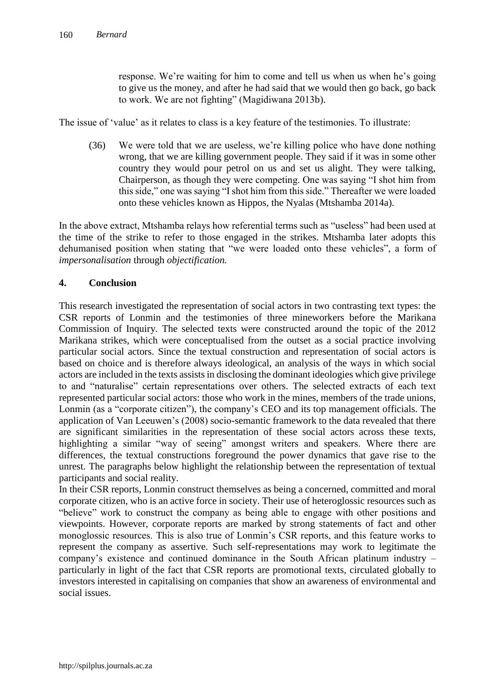response. We're waiting for him to come and tell us when us when he's going to give us the money, and after he had said that we would then go back, go back to work. We are not fighting" (Magidiwana 2013b).

The issue of 'value' as it relates to class is a key feature of the testimonies. To illustrate:

(36) We were told that we are useless, we're killing police who have done nothing wrong, that we are killing government people. They said if it was in some other country they would pour petrol on us and set us alight. They were talking, Chairperson, as though they were competing. One was saying "I shot him from this side," one was saying "I shot him from this side." Thereafter we were loaded onto these vehicles known as Hippos, the Nyalas (Mtshamba 2014a).

In the above extract, Mtshamba relays how referential terms such as "useless" had been used at the time of the strike to refer to those engaged in the strikes. Mtshamba later adopts this dehumanised position when stating that "we were loaded onto these vehicles", a form of *impersonalisation* through *objectification.*

## **4. Conclusion**

This research investigated the representation of social actors in two contrasting text types: the CSR reports of Lonmin and the testimonies of three mineworkers before the Marikana Commission of Inquiry. The selected texts were constructed around the topic of the 2012 Marikana strikes, which were conceptualised from the outset as a social practice involving particular social actors. Since the textual construction and representation of social actors is based on choice and is therefore always ideological, an analysis of the ways in which social actors are included in the texts assists in disclosing the dominant ideologies which give privilege to and "naturalise" certain representations over others. The selected extracts of each text represented particular social actors: those who work in the mines, members of the trade unions, Lonmin (as a "corporate citizen"), the company's CEO and its top management officials. The application of Van Leeuwen's (2008) socio-semantic framework to the data revealed that there are significant similarities in the representation of these social actors across these texts, highlighting a similar "way of seeing" amongst writers and speakers. Where there are differences, the textual constructions foreground the power dynamics that gave rise to the unrest. The paragraphs below highlight the relationship between the representation of textual participants and social reality.

In their CSR reports, Lonmin construct themselves as being a concerned, committed and moral corporate citizen, who is an active force in society. Their use of heteroglossic resources such as "believe" work to construct the company as being able to engage with other positions and viewpoints. However, corporate reports are marked by strong statements of fact and other monoglossic resources. This is also true of Lonmin's CSR reports, and this feature works to represent the company as assertive. Such self-representations may work to legitimate the company's existence and continued dominance in the South African platinum industry – particularly in light of the fact that CSR reports are promotional texts, circulated globally to investors interested in capitalising on companies that show an awareness of environmental and social issues.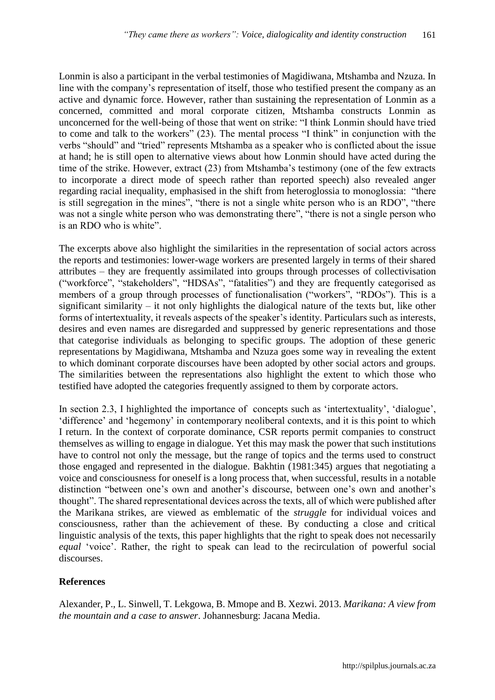Lonmin is also a participant in the verbal testimonies of Magidiwana, Mtshamba and Nzuza. In line with the company's representation of itself, those who testified present the company as an active and dynamic force. However, rather than sustaining the representation of Lonmin as a concerned, committed and moral corporate citizen, Mtshamba constructs Lonmin as unconcerned for the well-being of those that went on strike: "I think Lonmin should have tried to come and talk to the workers" (23). The mental process "I think" in conjunction with the verbs "should" and "tried" represents Mtshamba as a speaker who is conflicted about the issue at hand; he is still open to alternative views about how Lonmin should have acted during the time of the strike. However, extract (23) from Mtshamba's testimony (one of the few extracts to incorporate a direct mode of speech rather than reported speech) also revealed anger regarding racial inequality, emphasised in the shift from heteroglossia to monoglossia: "there is still segregation in the mines", "there is not a single white person who is an RDO", "there was not a single white person who was demonstrating there", "there is not a single person who is an RDO who is white".

The excerpts above also highlight the similarities in the representation of social actors across the reports and testimonies: lower-wage workers are presented largely in terms of their shared attributes – they are frequently assimilated into groups through processes of collectivisation ("workforce", "stakeholders", "HDSAs", "fatalities") and they are frequently categorised as members of a group through processes of functionalisation ("workers", "RDOs"). This is a significant similarity – it not only highlights the dialogical nature of the texts but, like other forms of intertextuality, it reveals aspects of the speaker's identity. Particulars such as interests, desires and even names are disregarded and suppressed by generic representations and those that categorise individuals as belonging to specific groups. The adoption of these generic representations by Magidiwana, Mtshamba and Nzuza goes some way in revealing the extent to which dominant corporate discourses have been adopted by other social actors and groups. The similarities between the representations also highlight the extent to which those who testified have adopted the categories frequently assigned to them by corporate actors.

In section 2.3, I highlighted the importance of concepts such as 'intertextuality', 'dialogue', 'difference' and 'hegemony' in contemporary neoliberal contexts, and it is this point to which I return. In the context of corporate dominance, CSR reports permit companies to construct themselves as willing to engage in dialogue. Yet this may mask the power that such institutions have to control not only the message, but the range of topics and the terms used to construct those engaged and represented in the dialogue. Bakhtin (1981:345) argues that negotiating a voice and consciousness for oneself is a long process that, when successful, results in a notable distinction "between one's own and another's discourse, between one's own and another's thought". The shared representational devices across the texts, all of which were published after the Marikana strikes, are viewed as emblematic of the *struggle* for individual voices and consciousness, rather than the achievement of these. By conducting a close and critical linguistic analysis of the texts, this paper highlights that the right to speak does not necessarily *equal* 'voice'. Rather, the right to speak can lead to the recirculation of powerful social discourses.

#### **References**

Alexander, P., L. Sinwell, T. Lekgowa, B. Mmope and B. Xezwi. 2013. *Marikana: A view from the mountain and a case to answer*. Johannesburg: Jacana Media.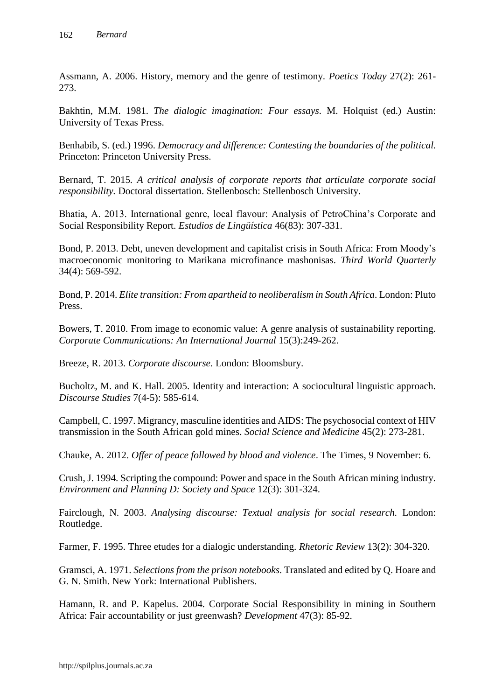Assmann, A. 2006. History, memory and the genre of testimony. *Poetics Today* 27(2): 261- 273.

Bakhtin, M.M. 1981. *The dialogic imagination: Four essays*. M. Holquist (ed.) Austin: University of Texas Press.

Benhabib, S. (ed.) 1996. *Democracy and difference: Contesting the boundaries of the political.*  Princeton: Princeton University Press.

Bernard, T. 2015*. A critical analysis of corporate reports that articulate corporate social responsibility.* Doctoral dissertation. Stellenbosch: Stellenbosch University.

Bhatia, A. 2013. International genre, local flavour: Analysis of PetroChina's Corporate and Social Responsibility Report. *Estudios de Lingüística* 46(83): 307-331.

Bond, P. 2013. Debt, uneven development and capitalist crisis in South Africa: From Moody's macroeconomic monitoring to Marikana microfinance mashonisas. *Third World Quarterly* 34(4): 569-592.

Bond, P. 2014. *Elite transition: From apartheid to neoliberalism in South Africa*. London: Pluto Press.

Bowers, T. 2010. From image to economic value: A genre analysis of sustainability reporting. *Corporate Communications: An International Journal* 15(3):249-262.

Breeze, R. 2013. *Corporate discourse*. London: Bloomsbury.

Bucholtz, M. and K. Hall. 2005. Identity and interaction: A sociocultural linguistic approach. *Discourse Studies* 7(4-5): 585-614.

Campbell, C. 1997. Migrancy, masculine identities and AIDS: The psychosocial context of HIV transmission in the South African gold mines. *Social Science and Medicine* 45(2): 273-281.

Chauke, A. 2012. *Offer of peace followed by blood and violence*. The Times, 9 November: 6.

Crush, J. 1994. Scripting the compound: Power and space in the South African mining industry. *Environment and Planning D: Society and Space* 12(3): 301-324.

Fairclough, N. 2003. *Analysing discourse: Textual analysis for social research.* London: Routledge.

Farmer, F. 1995. Three etudes for a dialogic understanding. *Rhetoric Review* 13(2): 304-320.

Gramsci, A. 1971. *Selections from the prison notebooks*. Translated and edited by Q. Hoare and G. N. Smith. New York: International Publishers.

Hamann, R. and P. Kapelus. 2004. Corporate Social Responsibility in mining in Southern Africa: Fair accountability or just greenwash? *Development* 47(3): 85-92.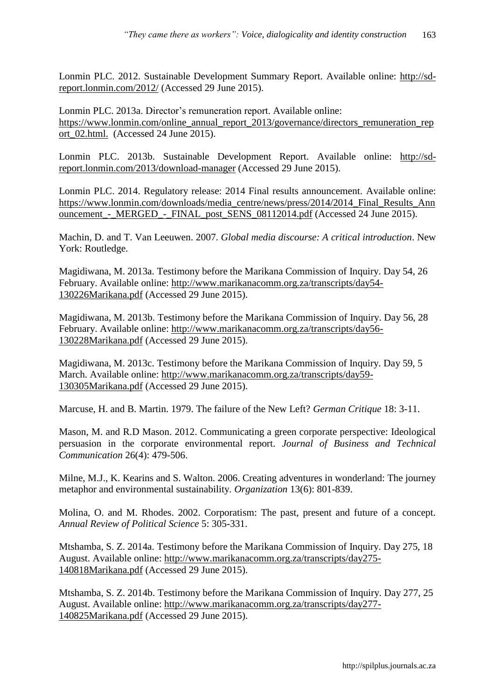Lonmin PLC. 2012. Sustainable Development Summary Report. Available online: [http://sd](http://sd-report.lonmin.com/2012/)[report.lonmin.com/2012/](http://sd-report.lonmin.com/2012/) (Accessed 29 June 2015).

Lonmin PLC. 2013a. Director's remuneration report. Available online: [https://www.lonmin.com/online\\_annual\\_report\\_2013/governance/directors\\_remuneration\\_rep](https://www.lonmin.com/online_annual_report_2013/governance/directors_remuneration_report_02.html.%20%5bAccessed%5d%2024) [ort\\_02.html.](https://www.lonmin.com/online_annual_report_2013/governance/directors_remuneration_report_02.html.%20%5bAccessed%5d%2024) (Accessed 24 June 2015).

Lonmin PLC. 2013b. Sustainable Development Report. Available online: [http://sd](http://sd-report.lonmin.com/2013/download-manager)[report.lonmin.com/2013/download-manager](http://sd-report.lonmin.com/2013/download-manager) (Accessed 29 June 2015).

Lonmin PLC. 2014. Regulatory release: 2014 Final results announcement. Available online: [https://www.lonmin.com/downloads/media\\_centre/news/press/2014/2014\\_Final\\_Results\\_Ann](https://www.lonmin.com/downloads/media_centre/news/press/2014/2014_Final_Results_Announcement_-_MERGED_-_FINAL_post_SENS_08112014.pdf) ouncement - MERGED - FINAL post SENS 08112014.pdf (Accessed 24 June 2015).

Machin, D. and T. Van Leeuwen. 2007. *Global media discourse: A critical introduction*. New York: Routledge.

Magidiwana, M. 2013a. Testimony before the Marikana Commission of Inquiry. Day 54, 26 February. Available online: [http://www.marikanacomm.org.za/transcripts/day54-](http://www.marikanacomm.org.za/transcripts/day54-130226Marikana.pdf) [130226Marikana.pdf](http://www.marikanacomm.org.za/transcripts/day54-130226Marikana.pdf) (Accessed 29 June 2015).

Magidiwana, M. 2013b. Testimony before the Marikana Commission of Inquiry. Day 56, 28 February. Available online: [http://www.marikanacomm.org.za/transcripts/day56-](http://www.marikanacomm.org.za/transcripts/day56-130228Marikana.pdf) [130228Marikana.pdf](http://www.marikanacomm.org.za/transcripts/day56-130228Marikana.pdf) (Accessed 29 June 2015).

Magidiwana, M. 2013c. Testimony before the Marikana Commission of Inquiry. Day 59, 5 March. Available online: [http://www.marikanacomm.org.za/transcripts/day59-](http://www.marikanacomm.org.za/transcripts/day59-130305Marikana.pdf) [130305Marikana.pdf](http://www.marikanacomm.org.za/transcripts/day59-130305Marikana.pdf) (Accessed 29 June 2015).

Marcuse, H. and B. Martin. 1979. The failure of the New Left? *German Critique* 18: 3-11.

Mason, M. and R.D Mason. 2012. Communicating a green corporate perspective: Ideological persuasion in the corporate environmental report. *Journal of Business and Technical Communication* 26(4): 479-506.

Milne, M.J., K. Kearins and S. Walton. 2006. Creating adventures in wonderland: The journey metaphor and environmental sustainability. *Organization* 13(6): 801-839.

Molina, O. and M. Rhodes. 2002. Corporatism: The past, present and future of a concept. *Annual Review of Political Science* 5: 305-331.

Mtshamba, S. Z. 2014a. Testimony before the Marikana Commission of Inquiry. Day 275, 18 August. Available online: [http://www.marikanacomm.org.za/transcripts/day275-](http://www.marikanacomm.org.za/transcripts/day275-140818Marikana.pdf) [140818Marikana.pdf](http://www.marikanacomm.org.za/transcripts/day275-140818Marikana.pdf) (Accessed 29 June 2015).

Mtshamba, S. Z. 2014b. Testimony before the Marikana Commission of Inquiry. Day 277, 25 August. Available online: [http://www.marikanacomm.org.za/transcripts/day277-](http://www.marikanacomm.org.za/transcripts/day277-140825Marikana.pdf) [140825Marikana.pdf](http://www.marikanacomm.org.za/transcripts/day277-140825Marikana.pdf) (Accessed 29 June 2015).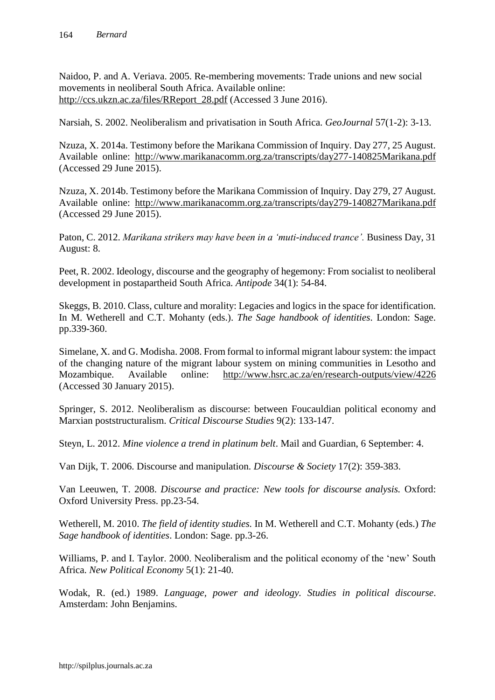Naidoo, P. and A. Veriava. 2005. Re-membering movements: Trade unions and new social movements in neoliberal South Africa. Available online: [http://ccs.ukzn.ac.za/files/RReport\\_28.pdf](http://ccs.ukzn.ac.za/files/RReport_28.pdf) (Accessed 3 June 2016).

Narsiah, S. 2002. Neoliberalism and privatisation in South Africa. *GeoJournal* 57(1-2): 3-13.

Nzuza, X. 2014a. Testimony before the Marikana Commission of Inquiry. Day 277, 25 August. Available online: <http://www.marikanacomm.org.za/transcripts/day277-140825Marikana.pdf> (Accessed 29 June 2015).

Nzuza, X. 2014b. Testimony before the Marikana Commission of Inquiry. Day 279, 27 August. Available online: <http://www.marikanacomm.org.za/transcripts/day279-140827Marikana.pdf> (Accessed 29 June 2015).

Paton, C. 2012. *Marikana strikers may have been in a 'muti-induced trance'.* Business Day, 31 August: 8.

Peet, R. 2002. Ideology, discourse and the geography of hegemony: From socialist to neoliberal development in postapartheid South Africa. *Antipode* 34(1): 54-84.

Skeggs, B. 2010. Class, culture and morality: Legacies and logics in the space for identification. In M. Wetherell and C.T. Mohanty (eds.). *The Sage handbook of identities*. London: Sage. pp.339-360.

Simelane, X. and G. Modisha. 2008. From formal to informal migrant labour system: the impact of the changing nature of the migrant labour system on mining communities in Lesotho and Mozambique. Available online: <http://www.hsrc.ac.za/en/research-outputs/view/4226> (Accessed 30 January 2015).

Springer, S. 2012. Neoliberalism as discourse: between Foucauldian political economy and Marxian poststructuralism. *Critical Discourse Studies* 9(2): 133-147.

Steyn, L. 2012. *Mine violence a trend in platinum belt*. Mail and Guardian, 6 September: 4.

Van Dijk, T. 2006. Discourse and manipulation. *Discourse & Society* 17(2): 359-383.

Van Leeuwen, T. 2008. *Discourse and practice: New tools for discourse analysis.* Oxford: Oxford University Press. pp.23-54.

Wetherell, M. 2010. *The field of identity studies.* In M. Wetherell and C.T. Mohanty (eds.) *The Sage handbook of identities*. London: Sage. pp.3-26.

Williams, P. and I. Taylor. 2000. Neoliberalism and the political economy of the 'new' South Africa. *New Political Economy* 5(1): 21-40.

Wodak, R. (ed.) 1989. *Language, power and ideology. Studies in political discourse*. Amsterdam: John Benjamins.